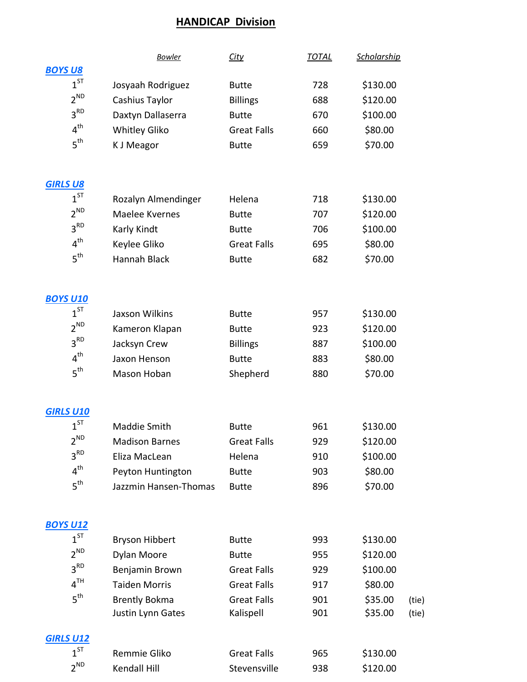## HANDICAP Division

|                  | <b>Bowler</b>                             | <b>City</b>                     | <b>TOTAL</b> | <b>Scholarship</b> |                |
|------------------|-------------------------------------------|---------------------------------|--------------|--------------------|----------------|
| <b>BOYS U8</b>   |                                           |                                 |              |                    |                |
| $1^{ST}$         | Josyaah Rodriguez                         | <b>Butte</b>                    | 728          | \$130.00           |                |
| $2^{ND}$         | Cashius Taylor                            | <b>Billings</b>                 | 688          | \$120.00           |                |
| 3 <sup>RD</sup>  | Daxtyn Dallaserra                         | <b>Butte</b>                    | 670          | \$100.00           |                |
| 4 <sup>th</sup>  | <b>Whitley Gliko</b>                      | <b>Great Falls</b>              | 660          | \$80.00            |                |
| 5 <sup>th</sup>  | <b>K J Meagor</b>                         | <b>Butte</b>                    | 659          | \$70.00            |                |
| <b>GIRLS U8</b>  |                                           |                                 |              |                    |                |
| $1^{ST}$         | Rozalyn Almendinger                       | Helena                          | 718          | \$130.00           |                |
| $2^{ND}$         | Maelee Kvernes                            | <b>Butte</b>                    | 707          | \$120.00           |                |
| 3 <sup>RD</sup>  | Karly Kindt                               | <b>Butte</b>                    | 706          | \$100.00           |                |
| 4 <sup>th</sup>  | Keylee Gliko                              | <b>Great Falls</b>              | 695          | \$80.00            |                |
| 5 <sup>th</sup>  | Hannah Black                              | <b>Butte</b>                    | 682          | \$70.00            |                |
| <b>BOYS U10</b>  |                                           |                                 |              |                    |                |
| $1^{ST}$         | <b>Jaxson Wilkins</b>                     | <b>Butte</b>                    | 957          | \$130.00           |                |
| $2^{ND}$         | Kameron Klapan                            | <b>Butte</b>                    | 923          | \$120.00           |                |
| 3 <sup>RD</sup>  | Jacksyn Crew                              | <b>Billings</b>                 | 887          | \$100.00           |                |
| 4 <sup>th</sup>  | Jaxon Henson                              | <b>Butte</b>                    | 883          | \$80.00            |                |
| 5 <sup>th</sup>  | Mason Hoban                               | Shepherd                        | 880          | \$70.00            |                |
| <b>GIRLS U10</b> |                                           |                                 |              |                    |                |
| $1^{ST}$         | <b>Maddie Smith</b>                       | <b>Butte</b>                    | 961          | \$130.00           |                |
| $2^{ND}$         | <b>Madison Barnes</b>                     | <b>Great Falls</b>              | 929          | \$120.00           |                |
| 3 <sup>RD</sup>  | Eliza MacLean                             | Helena                          | 910          | \$100.00           |                |
| 4 <sup>th</sup>  | Peyton Huntington                         | <b>Butte</b>                    | 903          | \$80.00            |                |
| 5 <sup>th</sup>  | Jazzmin Hansen-Thomas                     | <b>Butte</b>                    | 896          | \$70.00            |                |
| <b>BOYS U12</b>  |                                           |                                 |              |                    |                |
| $1^{ST}$         | <b>Bryson Hibbert</b>                     | <b>Butte</b>                    | 993          | \$130.00           |                |
| $2^{ND}$         | Dylan Moore                               | <b>Butte</b>                    | 955          | \$120.00           |                |
| 3 <sup>RD</sup>  | Benjamin Brown                            | <b>Great Falls</b>              | 929          | \$100.00           |                |
| 4 <sup>TH</sup>  | <b>Taiden Morris</b>                      | <b>Great Falls</b>              | 917          | \$80.00            |                |
| 5 <sup>th</sup>  | <b>Brently Bokma</b><br>Justin Lynn Gates | <b>Great Falls</b><br>Kalispell | 901<br>901   | \$35.00<br>\$35.00 | (tie)<br>(tie) |
| <b>GIRLS U12</b> |                                           |                                 |              |                    |                |
| $1^{ST}$         | Remmie Gliko                              | <b>Great Falls</b>              | 965          | \$130.00           |                |
| $2^{ND}$         | Kendall Hill                              | Stevensville                    | 938          | \$120.00           |                |